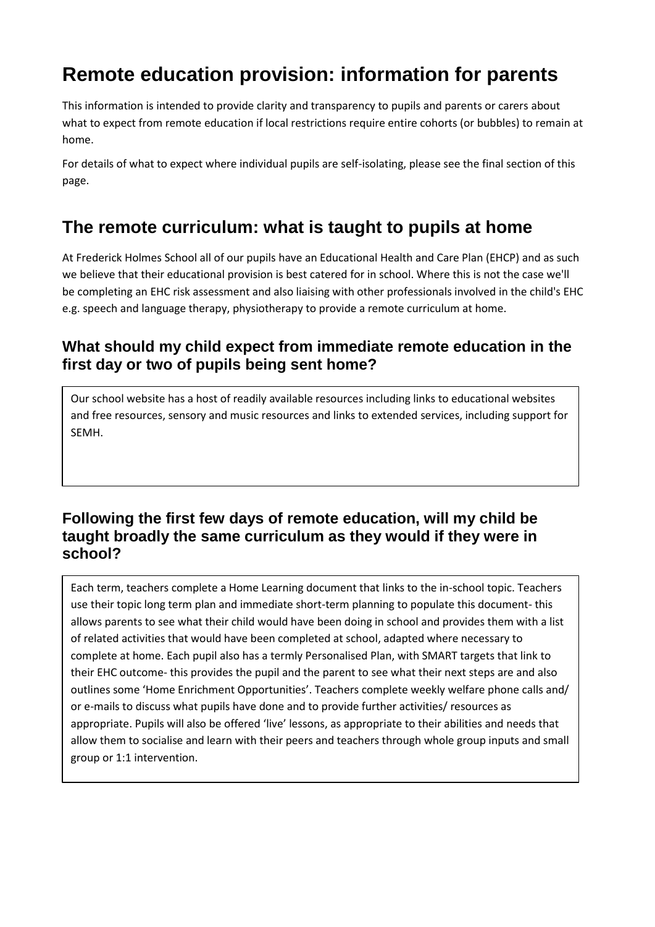# **Remote education provision: information for parents**

This information is intended to provide clarity and transparency to pupils and parents or carers about what to expect from remote education if local restrictions require entire cohorts (or bubbles) to remain at home.

For details of what to expect where individual pupils are self-isolating, please see the final section of this page.

# **The remote curriculum: what is taught to pupils at home**

At Frederick Holmes School all of our pupils have an Educational Health and Care Plan (EHCP) and as such we believe that their educational provision is best catered for in school. Where this is not the case we'll be completing an EHC risk assessment and also liaising with other professionals involved in the child's EHC e.g. speech and language therapy, physiotherapy to provide a remote curriculum at home.

### **What should my child expect from immediate remote education in the first day or two of pupils being sent home?**

Our school website has a host of readily available resources including links to educational websites and free resources, sensory and music resources and links to extended services, including support for SEMH.

### **Following the first few days of remote education, will my child be taught broadly the same curriculum as they would if they were in school?**

Each term, teachers complete a Home Learning document that links to the in-school topic. Teachers use their topic long term plan and immediate short-term planning to populate this document- this allows parents to see what their child would have been doing in school and provides them with a list of related activities that would have been completed at school, adapted where necessary to complete at home. Each pupil also has a termly Personalised Plan, with SMART targets that link to their EHC outcome- this provides the pupil and the parent to see what their next steps are and also outlines some 'Home Enrichment Opportunities'. Teachers complete weekly welfare phone calls and/ or e-mails to discuss what pupils have done and to provide further activities/ resources as appropriate. Pupils will also be offered 'live' lessons, as appropriate to their abilities and needs that allow them to socialise and learn with their peers and teachers through whole group inputs and small group or 1:1 intervention.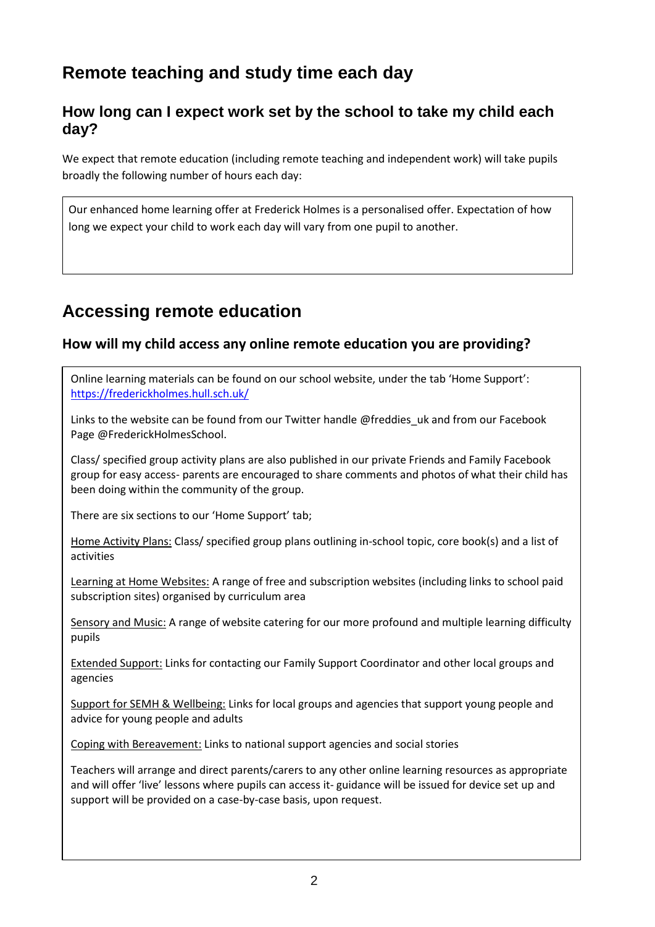# **Remote teaching and study time each day**

### **How long can I expect work set by the school to take my child each day?**

We expect that remote education (including remote teaching and independent work) will take pupils broadly the following number of hours each day:

Our enhanced home learning offer at Frederick Holmes is a personalised offer. Expectation of how long we expect your child to work each day will vary from one pupil to another.

# **Accessing remote education**

#### **How will my child access any online remote education you are providing?**

Online learning materials can be found on our school website, under the tab 'Home Support': <https://frederickholmes.hull.sch.uk/>

Links to the website can be found from our Twitter handle @freddies\_uk and from our Facebook Page @FrederickHolmesSchool.

Class/ specified group activity plans are also published in our private Friends and Family Facebook group for easy access- parents are encouraged to share comments and photos of what their child has been doing within the community of the group.

There are six sections to our 'Home Support' tab;

Home Activity Plans: Class/ specified group plans outlining in-school topic, core book(s) and a list of activities

Learning at Home Websites: A range of free and subscription websites (including links to school paid subscription sites) organised by curriculum area

Sensory and Music: A range of website catering for our more profound and multiple learning difficulty pupils

Extended Support: Links for contacting our Family Support Coordinator and other local groups and agencies

Support for SEMH & Wellbeing: Links for local groups and agencies that support young people and advice for young people and adults

Coping with Bereavement: Links to national support agencies and social stories

Teachers will arrange and direct parents/carers to any other online learning resources as appropriate and will offer 'live' lessons where pupils can access it- guidance will be issued for device set up and support will be provided on a case-by-case basis, upon request.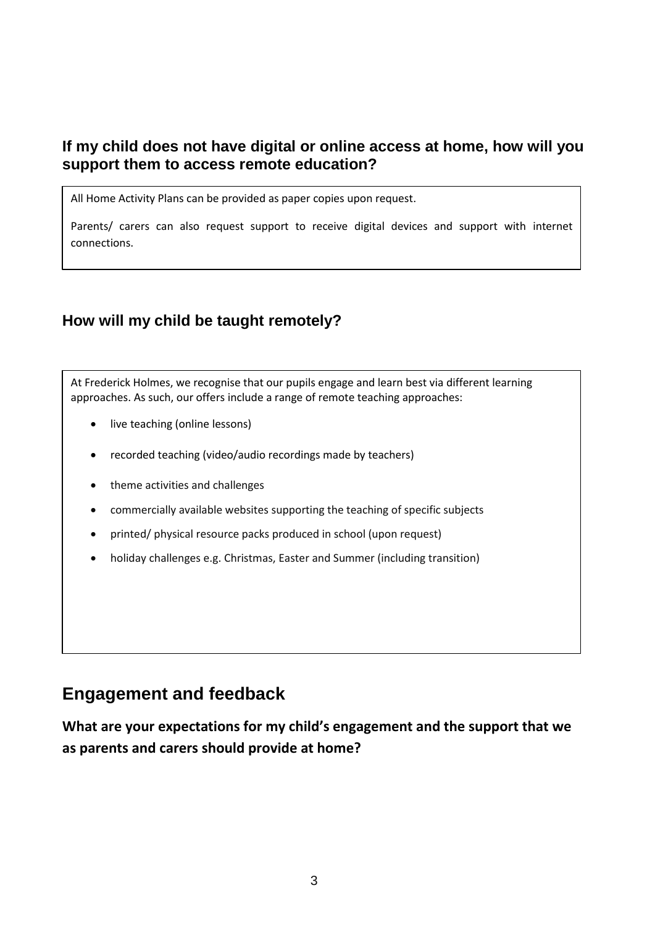### **If my child does not have digital or online access at home, how will you support them to access remote education?**

All Home Activity Plans can be provided as paper copies upon request.

Parents/ carers can also request support to receive digital devices and support with internet connections.

### **How will my child be taught remotely?**

At Frederick Holmes, we recognise that our pupils engage and learn best via different learning approaches. As such, our offers include a range of remote teaching approaches:

- live teaching (online lessons)
- recorded teaching (video/audio recordings made by teachers)
- theme activities and challenges
- commercially available websites supporting the teaching of specific subjects
- printed/ physical resource packs produced in school (upon request)
- holiday challenges e.g. Christmas, Easter and Summer (including transition)

## **Engagement and feedback**

**What are your expectations for my child's engagement and the support that we as parents and carers should provide at home?**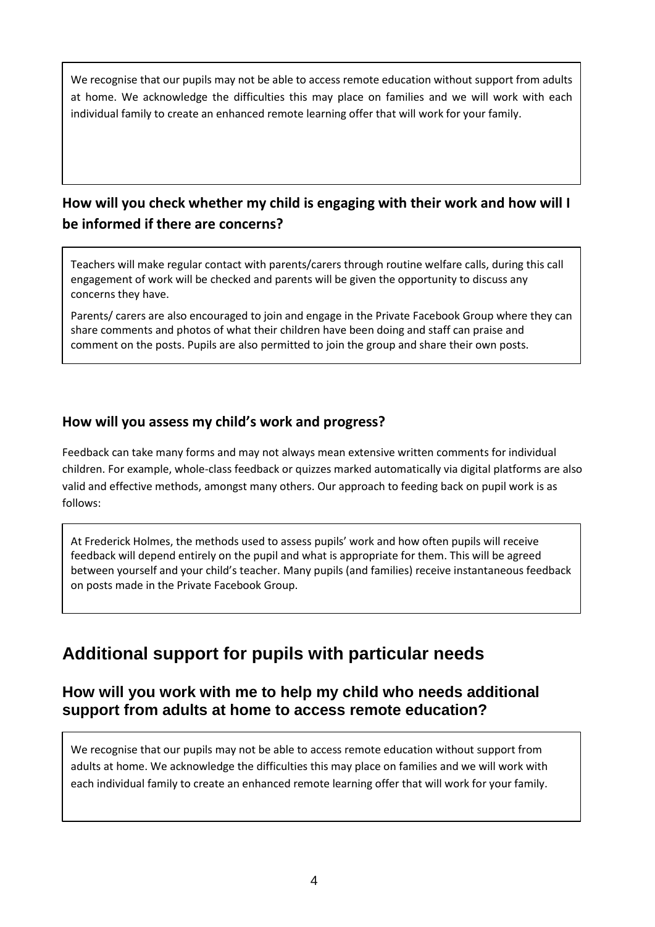We recognise that our pupils may not be able to access remote education without support from adults at home. We acknowledge the difficulties this may place on families and we will work with each individual family to create an enhanced remote learning offer that will work for your family.

## **How will you check whether my child is engaging with their work and how will I be informed if there are concerns?**

Teachers will make regular contact with parents/carers through routine welfare calls, during this call engagement of work will be checked and parents will be given the opportunity to discuss any concerns they have.

Parents/ carers are also encouraged to join and engage in the Private Facebook Group where they can share comments and photos of what their children have been doing and staff can praise and comment on the posts. Pupils are also permitted to join the group and share their own posts.

#### **How will you assess my child's work and progress?**

Feedback can take many forms and may not always mean extensive written comments for individual children. For example, whole-class feedback or quizzes marked automatically via digital platforms are also valid and effective methods, amongst many others. Our approach to feeding back on pupil work is as follows:

At Frederick Holmes, the methods used to assess pupils' work and how often pupils will receive feedback will depend entirely on the pupil and what is appropriate for them. This will be agreed between yourself and your child's teacher. Many pupils (and families) receive instantaneous feedback on posts made in the Private Facebook Group.

# **Additional support for pupils with particular needs**

### **How will you work with me to help my child who needs additional support from adults at home to access remote education?**

We recognise that our pupils may not be able to access remote education without support from adults at home. We acknowledge the difficulties this may place on families and we will work with each individual family to create an enhanced remote learning offer that will work for your family.